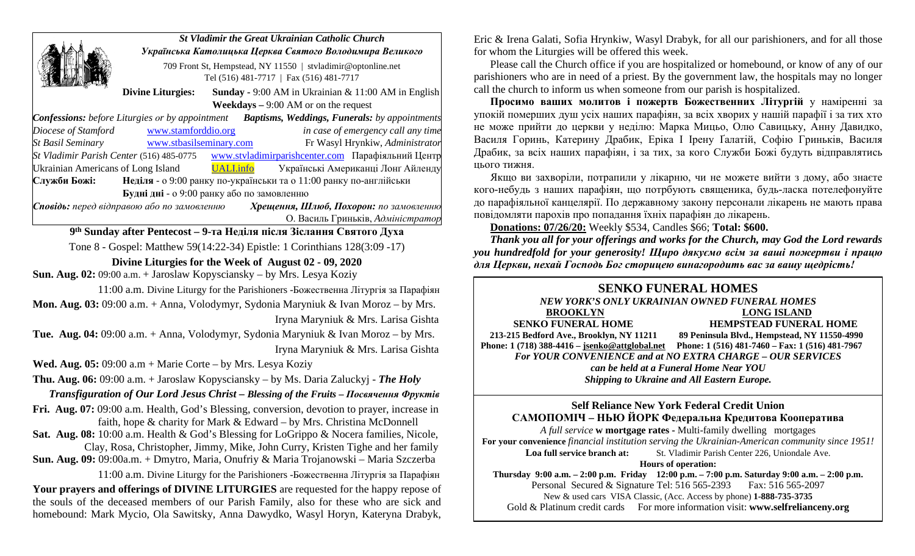|                                                                                                             | <b>St Vladimir the Great Ukrainian Catholic Church</b><br>Українська Католицька Церква Святого Володимира Великого |  |                                                               |                                    |
|-------------------------------------------------------------------------------------------------------------|--------------------------------------------------------------------------------------------------------------------|--|---------------------------------------------------------------|------------------------------------|
|                                                                                                             |                                                                                                                    |  |                                                               |                                    |
|                                                                                                             | 709 Front St, Hempstead, NY 11550   stvladimir@optonline.net                                                       |  |                                                               |                                    |
|                                                                                                             | Tel (516) 481-7717   Fax (516) 481-7717                                                                            |  |                                                               |                                    |
| <b>Divine Liturgies:</b>                                                                                    |                                                                                                                    |  | <b>Sunday - 9:00 AM</b> in Ukrainian $\&$ 11:00 AM in English |                                    |
| <b>Weekdays</b> $- 9:00$ AM or on the request                                                               |                                                                                                                    |  |                                                               |                                    |
| <b>Confessions:</b> before Liturgies or by appointment <b>Baptisms, Weddings, Funerals:</b> by appointments |                                                                                                                    |  |                                                               |                                    |
| Diocese of Stamford <u>www.stamforddio.org</u>                                                              |                                                                                                                    |  |                                                               | in case of emergency call any time |
| St Basil Seminary <b>WWW.stbasilseminary.com</b>                                                            |                                                                                                                    |  |                                                               | Fr Wasyl Hrynkiw, Administrator    |
| St Vladimir Parish Center (516) 485-0775 — www.stvladimirparishcenter.com Парафіяльний Центр                |                                                                                                                    |  |                                                               |                                    |
| Ukrainian Americans of Long Island UALLinfo                                                                 |                                                                                                                    |  |                                                               | Українські Американці Лонг Айленду |
| Неділя - о 9:00 ранку по-українськи та о 11:00 ранку по-англійськи<br>Служби Божі:                          |                                                                                                                    |  |                                                               |                                    |
| Будні дні - о 9:00 ранку або по замовленню                                                                  |                                                                                                                    |  |                                                               |                                    |
| Сповідь: перед відправою або по замовленню Мерещення, Шлюб, Похорон: по замовленню                          |                                                                                                                    |  |                                                               |                                    |
|                                                                                                             |                                                                                                                    |  |                                                               | О. Василь Гриньків, Адміністратор  |
| 9 <sup>th</sup> Sunday after Pentecost – 9-та Неділя після Зіслання Святого Духа                            |                                                                                                                    |  |                                                               |                                    |
| Tone 8 - Gospel: Matthew 59(14:22-34) Epistle: 1 Corinthians 128(3:09 -17)                                  |                                                                                                                    |  |                                                               |                                    |
| Divine Liturgies for the Week of August 02 - 09, 2020                                                       |                                                                                                                    |  |                                                               |                                    |
| Sun. Aug. 02: 09:00 a.m. + Jaroslaw Kopysciansky - by Mrs. Lesya Koziy                                      |                                                                                                                    |  |                                                               |                                    |
| 11:00 a.m. Divine Liturgy for the Parishioners -Божественна Літургія за Парафіян                            |                                                                                                                    |  |                                                               |                                    |

**Mon. Aug. 03:** 09:00 a.m. + Anna, Volodymyr, Sydonia Maryniuk & Ivan Moroz – by Mrs. Iryna Maryniuk & Mrs. Larisa Gishta

**Tue. Aug. 04:** 09:00 a.m. + Anna, Volodymyr, Sydonia Maryniuk & Ivan Moroz – by Mrs. Iryna Maryniuk & Mrs. Larisa Gishta

**Wed. Aug. 05:** 09:00 a.m + Marie Corte – by Mrs. Lesya Koziy

**Thu. Aug. 06:** 09:00 a.m. + Jaroslaw Kopysciansky – by Ms. Daria Zaluckyj - *The Holy* 

 *Transfiguration of Our Lord Jesus Christ – Blessing of the Fruits – Посвячення Фруктів*

**Fri. Aug. 07:** 09:00 a.m. Health, God's Blessing, conversion, devotion to prayer, increase in faith, hope & charity for Mark & Edward – by Mrs. Christina McDonnell

**Sat. Aug. 08:** 10:00 a.m. Health & God's Blessing for LoGrippo & Nocera families, Nicole,

 Clay, Rosa, Christopher, Jimmy, Mike, John Curry, Kristen Tighe and her family **Sun. Aug. 09:** 09:00a.m. + Dmytro, Maria, Onufriy & Maria Trojanowski – Maria Szczerba

 11:00 a.m. Divine Liturgy for the Parishioners -Божественна Літургія за Парафіян **Your prayers and offerings of DIVINE LITURGIES** are requested for the happy repose of the souls of the deceased members of our Parish Family, also for these who are sick and homebound: Mark Mycio, Ola Sawitsky, Anna Dawydko, Wasyl Horyn, Kateryna Drabyk,

Eric & Irena Galati, Sofia Hrynkiw, Wasyl Drabyk, for all our parishioners, and for all those for whom the Liturgies will be offered this week.

Please call the Church office if you are hospitalized or homebound, or know of any of our parishioners who are in need of a priest. By the government law, the hospitals may no longer call the church to inform us when someone from our parish is hospitalized.

**Просимо вашиx молитов і пожертв Божественних Літургій** у наміренні за упокiй помершиx душ усix нашиx парафiян, за всix xвориx у нашiй парафiї i за тиx xто не може прийти до церкви у недiлю: Марка Мицьо, Олю Савицьку, Анну Давидко, Василя Горинь, Катерину Драбик, Еріка І Ірену Ґалатій, Софію Гриньків, Василя Драбик, за всix нашиx парафiян, i за тиx, за кого Служби Божi будуть вiдправлятись цього тижня.

Якщо ви заxворiли, потрапили у лiкарню, чи не можете вийти з дому, або знаєте кого-небудь з нашиx парафiян, що потрбують священика, будь-ласка потелефонуйте до парафiяльної канцелярiї. По державному закону персонали лiкарень не мають права повiдомляти пароxiв про попадання їxнix парафiян до лiкарень.

**Donations: 07/26/20:** Weekly \$534, Candles \$66; **Total: \$600.**

*Thank you all for your offerings and works for the Church, may God the Lord rewards you hundredfold for your generosity! Щирo дякуємо всім за ваші пожертви і працю для Церкви, нехай Господь Бог сторицею винагородить вас за вашу щедрість!* 

# **SENKO FUNERAL HOMES**

*NEW YORK'S ONLY UKRAINIAN OWNED FUNERAL HOMES* **BROOKLYN LONG ISLAND SENKO FUNERAL HOME HEMPSTEAD FUNERAL HOME 213-215 Bedford Ave., Brooklyn, NY 11211 89 Peninsula Blvd., Hempstead, NY 11550-4990 Phone: 1 (718) 388-4416 – [jsenko@attglobal.net](mailto:jsenko@attglobal.net) Phone: 1 (516) 481-7460 – Fax: 1 (516) 481-7967** *For YOUR CONVENIENCE and at NO EXTRA CHARGE – OUR SERVICES can be held at a Funeral Home Near YOU Shipping to Ukraine and All Eastern Europe.*

#### **Self Reliance New York Federal Credit Union САМОПОМІЧ – НЬЮ ЙОРК Федеральна Кредитова Кооператива**

*A full service* **w mortgage rates -** Multi-family dwellingmortgages **For your convenience** *financial institution serving the Ukrainian-American community since 1951!*  Loa full service branch at: St. Vladimir Parish Center 226, Uniondale Ave.

**Hours of operation:**

**Thursday 9:00 a.m. – 2:00 p.m. Friday 12:00 p.m. – 7:00 p.m. Saturday 9:00 a.m. – 2:00 p.m.** Personal Secured & Signature Tel: 516 565-2393 Fax: 516 565-2097 New & used cars VISA Classic, (Acc. Access by phone) **1-888-735-3735** Gold & Platinum credit cards For more information visit: **www.selfrelianceny.org**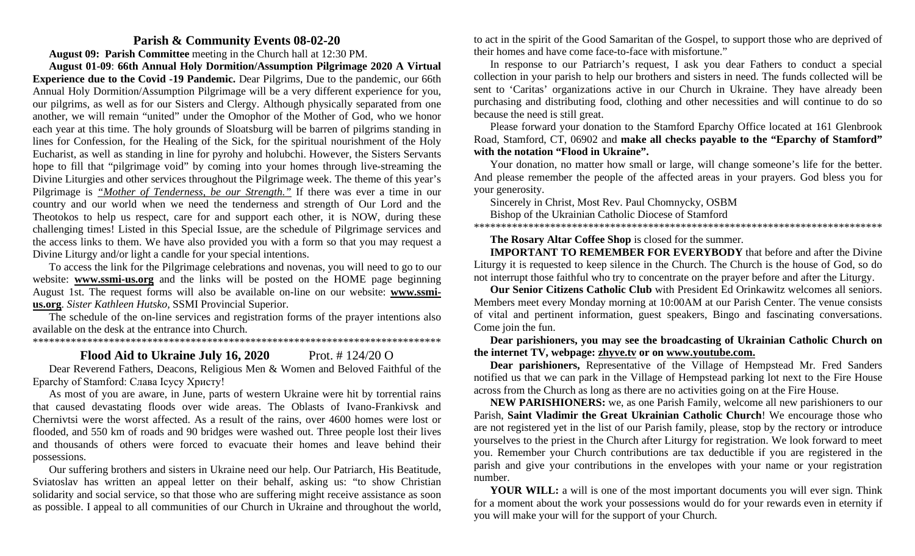#### **Parish & Community Events 08-02-20**

**August 09: Parish Committee** meeting in the Church hall at 12:30 PM.

**August 01-09**: **66th Annual Holy Dormition/Assumption Pilgrimage 2020 A Virtual Experience due to the Covid -19 Pandemic.** Dear Pilgrims, Due to the pandemic, our 66th Annual Holy Dormition/Assumption Pilgrimage will be a very different experience for you, our pilgrims, as well as for our Sisters and Clergy. Although physically separated from one another, we will remain "united" under the Omophor of the Mother of God, who we honor each year at this time. The holy grounds of Sloatsburg will be barren of pilgrims standing in lines for Confession, for the Healing of the Sick, for the spiritual nourishment of the Holy Eucharist, as well as standing in line for pyrohy and holubchi. However, the Sisters Servants hope to fill that "pilgrimage void" by coming into your homes through live-streaming the Divine Liturgies and other services throughout the Pilgrimage week. The theme of this year's Pilgrimage is *"Mother of Tenderness, be our Strength."* If there was ever a time in our country and our world when we need the tenderness and strength of Our Lord and the Theotokos to help us respect, care for and support each other, it is NOW, during these challenging times! Listed in this Special Issue, are the schedule of Pilgrimage services and the access links to them. We have also provided you with a form so that you may request a Divine Liturgy and/or light a candle for your special intentions.

To access the link for the Pilgrimage celebrations and novenas, you will need to go to our website: **www.ssmi-us.org** and the links will be posted on the HOME page beginning August 1st. The request forms will also be available on-line on our website: **www.ssmius.org**. *Sister Kathleen Hutsko,* SSMI Provincial Superior.

The schedule of the on-line services and registration forms of the prayer intentions also available on the desk at the entrance into Church.

\*\*\*\*\*\*\*\*\*\*\*\*\*\*\*\*\*\*\*\*\*\*\*\*\*\*\*\*\*\*\*\*\*\*\*\*\*\*\*\*\*\*\*\*\*\*\*\*\*\*\*\*\*\*\*\*\*\*\*\*\*\*\*\*\*\*\*\*\*\*\*\*\*\*\*

## **Flood Aid to Ukraine July 16, 2020** Prot. # 124/20 O

Dear Reverend Fathers, Deacons, Religious Men & Women and Beloved Faithful of the Eparchy of Stamford: Слава Ісусу Христу!

As most of you are aware, in June, parts of western Ukraine were hit by torrential rains that caused devastating floods over wide areas. The Oblasts of Ivano-Frankivsk and Chernivtsi were the worst affected. As a result of the rains, over 4600 homes were lost or flooded, and 550 km of roads and 90 bridges were washed out. Three people lost their lives and thousands of others were forced to evacuate their homes and leave behind their possessions.

Our suffering brothers and sisters in Ukraine need our help. Our Patriarch, His Beatitude, Sviatoslav has written an appeal letter on their behalf, asking us: "to show Christian solidarity and social service, so that those who are suffering might receive assistance as soon as possible. I appeal to all communities of our Church in Ukraine and throughout the world, to act in the spirit of the Good Samaritan of the Gospel, to support those who are deprived of their homes and have come face-to-face with misfortune."

In response to our Patriarch's request, I ask you dear Fathers to conduct a special collection in your parish to help our brothers and sisters in need. The funds collected will be sent to 'Caritas' organizations active in our Church in Ukraine. They have already been purchasing and distributing food, clothing and other necessities and will continue to do so because the need is still great.

Please forward your donation to the Stamford Eparchy Office located at 161 Glenbrook Road, Stamford, CT, 06902 and **make all checks payable to the "Eparchy of Stamford" with the notation "Flood in Ukraine".** 

Your donation, no matter how small or large, will change someone's life for the better. And please remember the people of the affected areas in your prayers. God bless you for your generosity.

Sincerely in Christ, Most Rev. Paul Chomnycky, OSBM

Bishop of the Ukrainian Catholic Diocese of Stamford

\*\*\*\*\*\*\*\*\*\*\*\*\*\*\*\*\*\*\*\*\*\*\*\*\*\*\*\*\*\*\*\*\*\*\*\*\*\*\*\*\*\*\*\*\*\*\*\*\*\*\*\*\*\*\*\*\*\*\*\*\*\*\*\*\*\*\*\*\*\*\*\*\*\*\*

#### **The Rosary Altar Coffee Shop** is closed for the summer.

**IMPORTANT TO REMEMBER FOR EVERYBODY** that before and after the Divine Liturgy it is requested to keep silence in the Church. The Church is the house of God, so do not interrupt those faithful who try to concentrate on the prayer before and after the Liturgy.

**Our Senior Citizens Catholic Club** with President Ed Orinkawitz welcomes all seniors. Members meet every Monday morning at 10:00AM at our Parish Center. The venue consists of vital and pertinent information, guest speakers, Bingo and fascinating conversations. Come join the fun.

**Dear parishioners, you may see the broadcasting of Ukrainian Catholic Church on the internet TV, webpage: [zhyve.tv](http://www.ugcc.org.ua/) or on [www.youtube.com.](http://www.youtube.com/)**

**Dear parishioners,** Representative of the Village of Hempstead Mr. Fred Sanders notified us that we can park in the Village of Hempstead parking lot next to the Fire House across from the Church as long as there are no activities going on at the Fire House.

**NEW PARISHIONERS:** we, as one Parish Family, welcome all new parishioners to our Parish, **Saint Vladimir the Great Ukrainian Catholic Church**! We encourage those who are not registered yet in the list of our Parish family, please, stop by the rectory or introduce yourselves to the priest in the Church after Liturgy for registration. We look forward to meet you. Remember your Church contributions are tax deductible if you are registered in the parish and give your contributions in the envelopes with your name or your registration number.

**YOUR WILL:** a will is one of the most important documents you will ever sign. Think for a moment about the work your possessions would do for your rewards even in eternity if you will make your will for the support of your Church.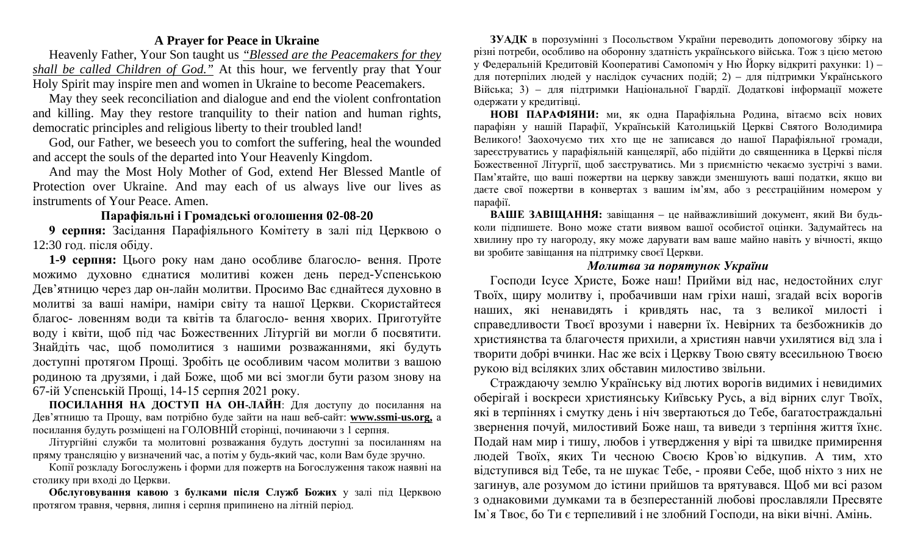## **A Prayer for Peace in Ukraine**

Heavenly Father, Your Son taught us *"Blessed are the Peacemakers for they shall be called Children of God."* At this hour, we fervently pray that Your Holy Spirit may inspire men and women in Ukraine to become Peacemakers.

May they seek reconciliation and dialogue and end the violent confrontation and killing. May they restore tranquility to their nation and human rights, democratic principles and religious liberty to their troubled land!

God, our Father, we beseech you to comfort the suffering, heal the wounded and accept the souls of the departed into Your Heavenly Kingdom.

And may the Most Holy Mother of God, extend Her Blessed Mantle of Protection over Ukraine. And may each of us always live our lives as instruments of Your Peace. Amen.

# **Парафіяльні і Громадські оголошення 02-08-20**

**9 серпня:** Засідання Парафіяльного Комітету в залі під Церквою о 12:30 год. після обіду.

**1-9 серпня:** Цього року нам дано особливе благосло- вення. Проте можимо духовно єднатися молитиві кожен день пеpед-Успенською Дев'ятницю через дар он-лайн молитви. Просимо Вас єднайтеся духовно в молитві за ваші наміри, наміри світу та нашої Церкви. Скористайтеся благос- ловенням води та квітів та благосло- вення хворих. Приготуйте воду і квіти, щоб під час Божественних Літургій ви могли б посвятити. Знайдіть час, щоб помолитися з нашими розважаннями, які будуть доступні протягом Прощі. Зробіть це особливим часом молитви з вашою родиною та друзями, і дай Боже, щоб ми всі змогли бути разом знову на 67-ій Успенській Прощі, 14-15 серпня 2021 року.

**ПОСИЛАННЯ НА ДОСТУП НА ОН-ЛАЙН**: Для доступу до посилання на Дев'ятницю та Прощу, вам потрібно буде зайти на наш веб-сайт: **www.ssmi-us.org,** а посилання будуть розміщені на ГОЛОВНIЙ сторінці, починаючи з 1 серпня.

Літургійні служби та молитовні розважання будуть доступні за посиланням на пряму трансляцію у визначений час, а потім у будь-який час, коли Вам буде зручно.

Копії розкладу Богослужень і форми для пожертв на Богослуження також наявні на столику при вході до Церкви.

**Обслуговування кавою з булками після Служб Божих** у залі під Церквою протягом травня, червня, липня і серпня припинено на літній період.

**ЗУАДК** в порозумінні з Посольством України переводить допомогову збірку на різні потреби, особливо на оборонну здатність українського війська. Тож з цією метою у Федеральній Кредитовій Кооперативі Самопоміч у Ню Йорку відкриті рахунки: 1) – для потерпілих людей у наслідок сучасних подій; 2) – для підтримки Українського Війська; 3) – для підтримки Національної Гвардії. Додаткові інформації можете одержати у кредитівцi.

**НОВІ ПАРАФІЯНИ:** ми, як одна Парафіяльна Родина, вітаємо всіх нових парафіян у нашій Парафії, Українській Католицькій Церкві Святого Володимира Великого! Заохочуємо тих хто ще не записався до нашої Парафіяльної громади, зареєструватись у парафіяльній канцелярії, або підійти до священника в Церкві після Божественної Літургії, щоб заєструватись. Ми з приємністю чекаємо зустрічі з вами. Пам'ятайте, що вашi пожертви на церкву завжди зменшують вашi податки, якщо ви даєте свої пожертви в конвертаx з вашим iм'ям, або з реєстрацiйним номером у парафiї.

**ВАШЕ ЗАВІЩАННЯ:** завіщання – це найважливіший документ, який Ви будьколи підпишете. Воно може стати виявом вашої особистої оцінки. Задумайтесь на хвилину про ту нагороду, яку може дарувати вам ваше майно навіть у вічності, якщо ви зробите завіщання на підтримку своєї Церкви.

# *Молитва за порятунок України*

Господи Ісусе Христе, Боже наш! Прийми від нас, недостойних слуг Твоїх, щиру молитву і, пробачивши нам гріхи наші, згадай всіх ворогів наших, які ненавидять і кривдять нас, та з великої милості і справедливости Твоєї врозуми і наверни їх. Невірних та безбожників до християнства та благочестя прихили, а християн навчи ухилятися від зла і творити добрі вчинки. Нас же всіх і Церкву Твою святу всесильною Твоєю рукою від всіляких злих обставин милостиво звільни.

Страждаючу землю Українську від лютих ворогів видимих і невидимих оберігай і воскреси християнську Київську Русь, а від вірних слуг Твоїх, які в терпіннях і смутку день і ніч звертаються до Тебе, багатостраждальні звернення почуй, милостивий Боже наш, та виведи з терпіння життя їхнє. Подай нам мир і тишу, любов і утвердження у вірі та швидке примирення людей Твоїх, яких Ти чесною Своєю Кров`ю відкупив. А тим, хто відступився від Тебе, та не шукає Тебе, - прояви Себе, щоб ніхто з них не загинув, але розумом до істини прийшов та врятувався. Щоб ми всі разом з однаковими думками та в безперестанній любові прославляли Пресвяте Ім`я Твоє, бо Ти є терпеливий і не злобний Господи, на віки вічні. Амінь.